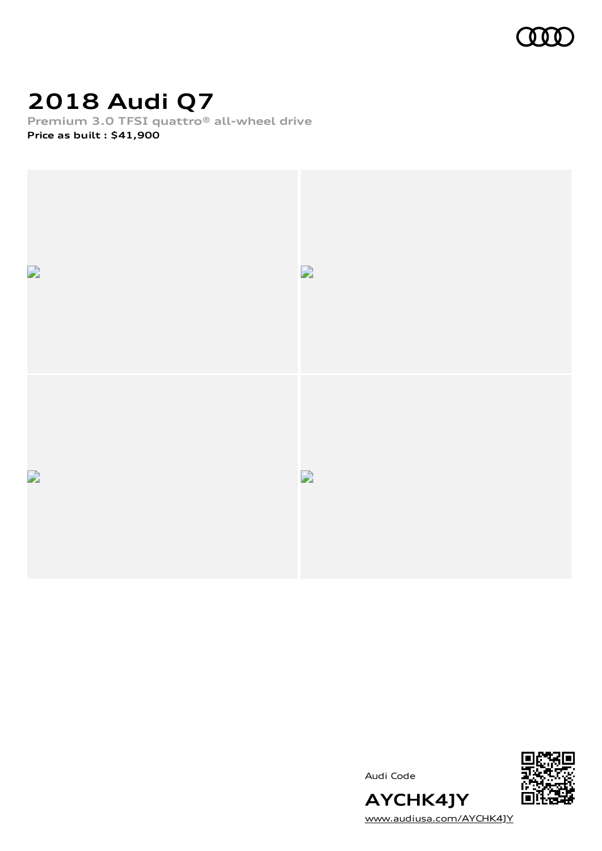

# **2018 Audi Q7**

**Premium 3.0 TFSI quattro® all-wheel drive**

**Price as built [:](#page-9-0) \$41,900**





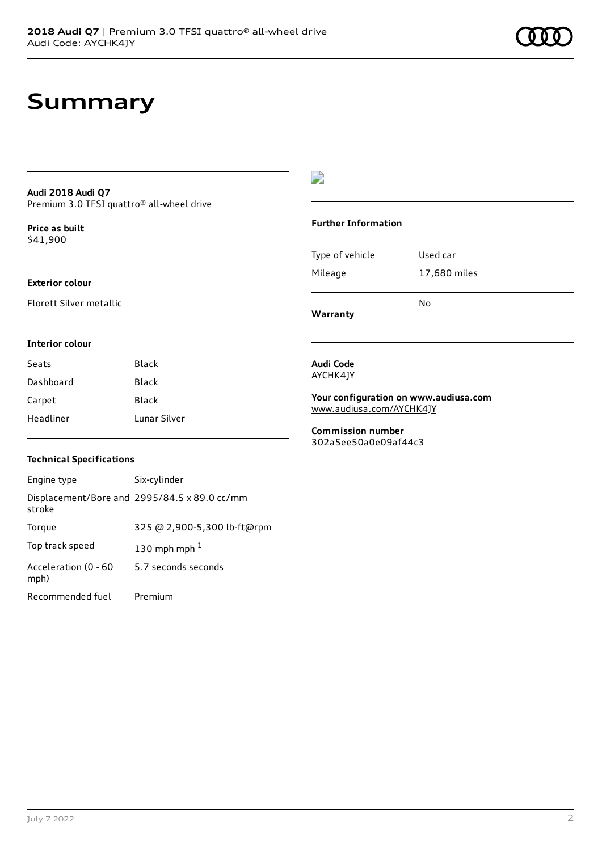#### **Audi 2018 Audi Q7** Premium 3.0 TFSI quattro® all-wheel drive

**Price as buil[t](#page-9-0)** \$41,900

#### **Exterior colour**

Florett Silver metallic

### $\overline{\phantom{a}}$

#### **Further Information**

|                 | N٥           |
|-----------------|--------------|
| Mileage         | 17,680 miles |
| Type of vehicle | Used car     |

**Warranty**

#### **Interior colour**

| Seats     | Black        |
|-----------|--------------|
| Dashboard | Black        |
| Carpet    | Black        |
| Headliner | Lunar Silver |

### **Technical Specifications**

| Engine type                  | Six-cylinder                                 |
|------------------------------|----------------------------------------------|
| stroke                       | Displacement/Bore and 2995/84.5 x 89.0 cc/mm |
| Torque                       | 325 @ 2,900-5,300 lb-ft@rpm                  |
| Top track speed              | 130 mph mph $1$                              |
| Acceleration (0 - 60<br>mph) | 5.7 seconds seconds                          |
| Recommended fuel             | Premium                                      |

**Audi Code** AYCHK4JY

**Your configuration on www.audiusa.com** [www.audiusa.com/AYCHK4JY](https://www.audiusa.com/AYCHK4JY)

**Commission number** 302a5ee50a0e09af44c3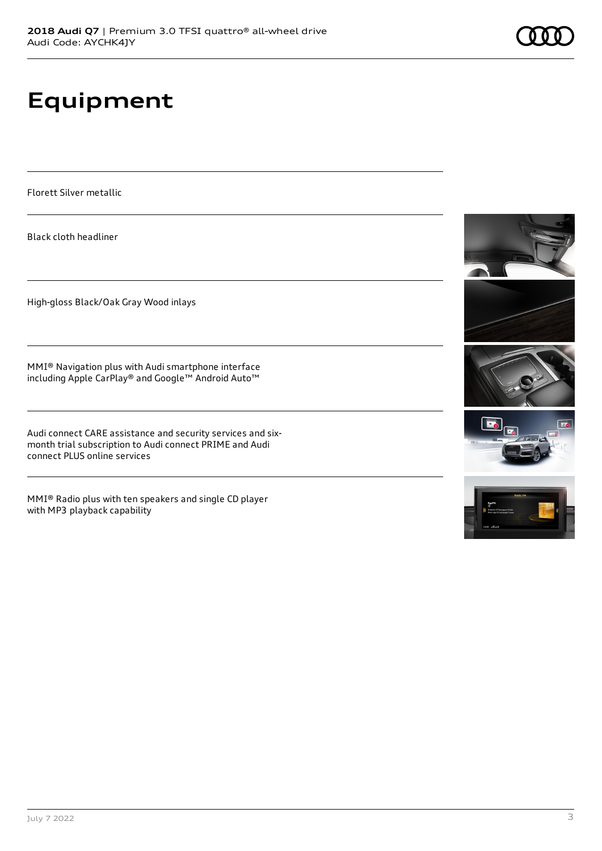# **Equipment**

Florett Silver metallic

Black cloth headliner

High-gloss Black/Oak Gray Wood inlays

MMI® Navigation plus with Audi smartphone interface including Apple CarPlay® and Google™ Android Auto™

Audi connect CARE assistance and security services and sixmonth trial subscription to Audi connect PRIME and Audi connect PLUS online services

MMI® Radio plus with ten speakers and single CD player with MP3 playback capability







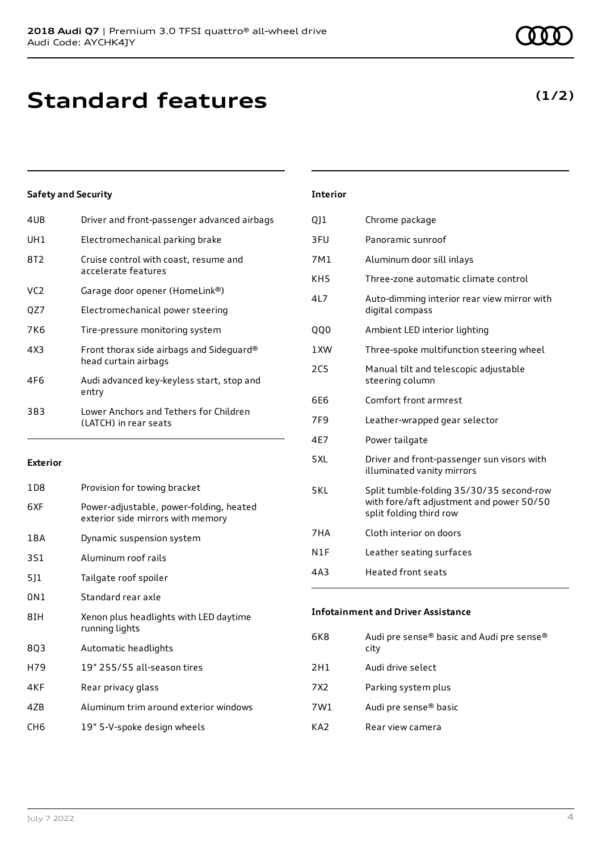# **Standard features**

### **Safety and Security**

| 4UB | Driver and front-passenger advanced airbags                      |
|-----|------------------------------------------------------------------|
| UH1 | Electromechanical parking brake                                  |
| 8T2 | Cruise control with coast, resume and<br>accelerate features     |
| VC2 | Garage door opener (HomeLink®)                                   |
| QZ7 | Electromechanical power steering                                 |
| 7K6 | Tire-pressure monitoring system                                  |
| 4X3 | Front thorax side airbags and Sideguard®<br>head curtain airbags |
| 4F6 | Audi advanced key-keyless start, stop and<br>entry               |
| 3B3 | Lower Anchors and Tethers for Children<br>(LATCH) in rear seats  |
|     |                                                                  |

#### **Exterior**

| 1D8             | Provision for towing bracket                                                 |
|-----------------|------------------------------------------------------------------------------|
| 6XF             | Power-adjustable, power-folding, heated<br>exterior side mirrors with memory |
| 1 B A           | Dynamic suspension system                                                    |
| 3S1             | Aluminum roof rails                                                          |
| 5]1             | Tailgate roof spoiler                                                        |
| 0N1             | Standard rear axle                                                           |
| 8IH             | Xenon plus headlights with LED daytime<br>running lights                     |
| 8Q3             | Automatic headlights                                                         |
| H79             | 19" 255/55 all-season tires                                                  |
| 4KF             | Rear privacy glass                                                           |
| 4ZB             | Aluminum trim around exterior windows                                        |
| CH <sub>6</sub> | 19" 5-V-spoke design wheels                                                  |

#### **Interior**

| 011             | Chrome package                                                                                                  |
|-----------------|-----------------------------------------------------------------------------------------------------------------|
| 3FU             | Panoramic sunroof                                                                                               |
| 7M1             | Aluminum door sill inlays                                                                                       |
| KH <sub>5</sub> | Three-zone automatic climate control                                                                            |
| 4L7             | Auto-dimming interior rear view mirror with<br>digital compass                                                  |
| QQ0             | Ambient LED interior lighting                                                                                   |
| 1 XW            | Three-spoke multifunction steering wheel                                                                        |
| 2C <sub>5</sub> | Manual tilt and telescopic adjustable<br>steering column                                                        |
| 6E6             | Comfort front armrest                                                                                           |
| 7F9             | Leather-wrapped gear selector                                                                                   |
| 4E7             | Power tailgate                                                                                                  |
| 5XL             | Driver and front-passenger sun visors with<br>illuminated vanity mirrors                                        |
| 5KL             | Split tumble-folding 35/30/35 second-row<br>with fore/aft adjustment and power 50/50<br>split folding third row |
| 7HA             | Cloth interior on doors                                                                                         |
| N1F             | Leather seating surfaces                                                                                        |
| 4A3             | <b>Heated front seats</b>                                                                                       |

### **Infotainment and Driver Assistance**

| 6K8  | Audi pre sense® basic and Audi pre sense®<br>city |
|------|---------------------------------------------------|
| 2H1  | Audi drive select                                 |
| 7X2. | Parking system plus                               |
| 7W1  | Audi pre sense® basic                             |
| KA2  | Rear view camera                                  |
|      |                                                   |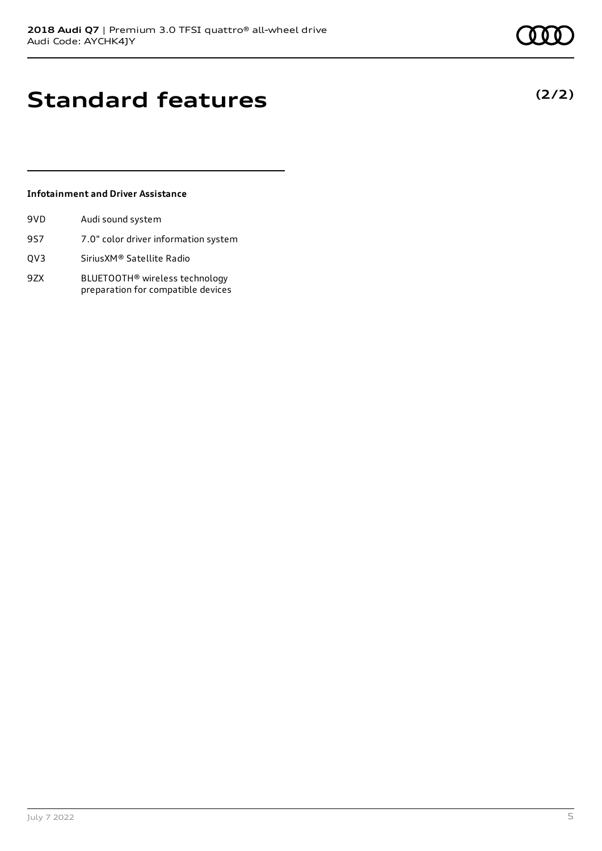**(2/2)**

## **Standard features**

### **Infotainment and Driver Assistance**

| 9VD | Audi sound system                    |
|-----|--------------------------------------|
| 9S7 | 7.0" color driver information system |
| OV3 | SiriusXM® Satellite Radio            |

9ZX BLUETOOTH® wireless technology preparation for compatible devices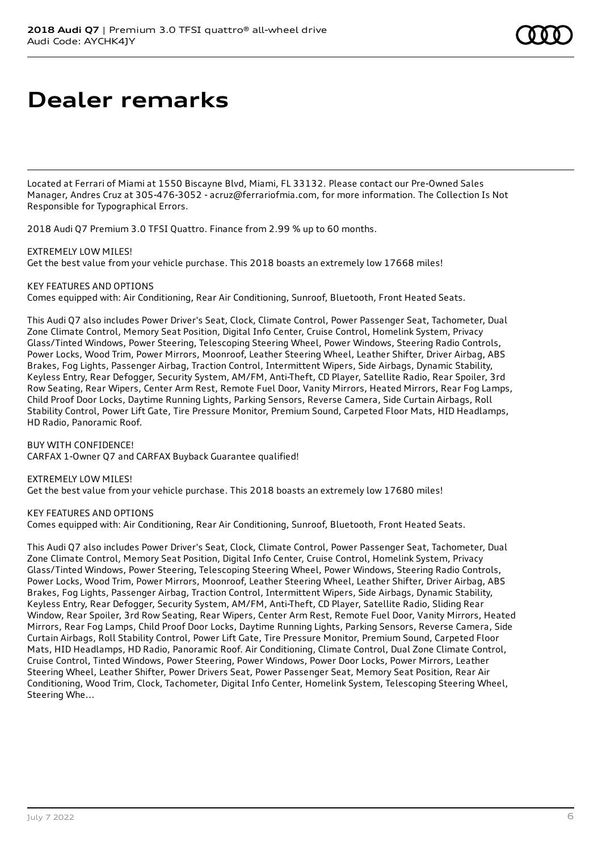# **Dealer remarks**

Located at Ferrari of Miami at 1550 Biscayne Blvd, Miami, FL 33132. Please contact our Pre-Owned Sales Manager, Andres Cruz at 305-476-3052 - acruz@ferrariofmia.com, for more information. The Collection Is Not Responsible for Typographical Errors.

2018 Audi Q7 Premium 3.0 TFSI Quattro. Finance from 2.99 % up to 60 months.

EXTREMELY LOW MILES! Get the best value from your vehicle purchase. This 2018 boasts an extremely low 17668 miles!

KEY FEATURES AND OPTIONS

Comes equipped with: Air Conditioning, Rear Air Conditioning, Sunroof, Bluetooth, Front Heated Seats.

This Audi Q7 also includes Power Driver's Seat, Clock, Climate Control, Power Passenger Seat, Tachometer, Dual Zone Climate Control, Memory Seat Position, Digital Info Center, Cruise Control, Homelink System, Privacy Glass/Tinted Windows, Power Steering, Telescoping Steering Wheel, Power Windows, Steering Radio Controls, Power Locks, Wood Trim, Power Mirrors, Moonroof, Leather Steering Wheel, Leather Shifter, Driver Airbag, ABS Brakes, Fog Lights, Passenger Airbag, Traction Control, Intermittent Wipers, Side Airbags, Dynamic Stability, Keyless Entry, Rear Defogger, Security System, AM/FM, Anti-Theft, CD Player, Satellite Radio, Rear Spoiler, 3rd Row Seating, Rear Wipers, Center Arm Rest, Remote Fuel Door, Vanity Mirrors, Heated Mirrors, Rear Fog Lamps, Child Proof Door Locks, Daytime Running Lights, Parking Sensors, Reverse Camera, Side Curtain Airbags, Roll Stability Control, Power Lift Gate, Tire Pressure Monitor, Premium Sound, Carpeted Floor Mats, HID Headlamps, HD Radio, Panoramic Roof.

BUY WITH CONFIDENCE! CARFAX 1-Owner Q7 and CARFAX Buyback Guarantee qualified!

EXTREMELY LOW MILES! Get the best value from your vehicle purchase. This 2018 boasts an extremely low 17680 miles!

KEY FEATURES AND OPTIONS Comes equipped with: Air Conditioning, Rear Air Conditioning, Sunroof, Bluetooth, Front Heated Seats.

This Audi Q7 also includes Power Driver's Seat, Clock, Climate Control, Power Passenger Seat, Tachometer, Dual Zone Climate Control, Memory Seat Position, Digital Info Center, Cruise Control, Homelink System, Privacy Glass/Tinted Windows, Power Steering, Telescoping Steering Wheel, Power Windows, Steering Radio Controls, Power Locks, Wood Trim, Power Mirrors, Moonroof, Leather Steering Wheel, Leather Shifter, Driver Airbag, ABS Brakes, Fog Lights, Passenger Airbag, Traction Control, Intermittent Wipers, Side Airbags, Dynamic Stability, Keyless Entry, Rear Defogger, Security System, AM/FM, Anti-Theft, CD Player, Satellite Radio, Sliding Rear Window, Rear Spoiler, 3rd Row Seating, Rear Wipers, Center Arm Rest, Remote Fuel Door, Vanity Mirrors, Heated Mirrors, Rear Fog Lamps, Child Proof Door Locks, Daytime Running Lights, Parking Sensors, Reverse Camera, Side Curtain Airbags, Roll Stability Control, Power Lift Gate, Tire Pressure Monitor, Premium Sound, Carpeted Floor Mats, HID Headlamps, HD Radio, Panoramic Roof. Air Conditioning, Climate Control, Dual Zone Climate Control, Cruise Control, Tinted Windows, Power Steering, Power Windows, Power Door Locks, Power Mirrors, Leather Steering Wheel, Leather Shifter, Power Drivers Seat, Power Passenger Seat, Memory Seat Position, Rear Air Conditioning, Wood Trim, Clock, Tachometer, Digital Info Center, Homelink System, Telescoping Steering Wheel, Steering Whe...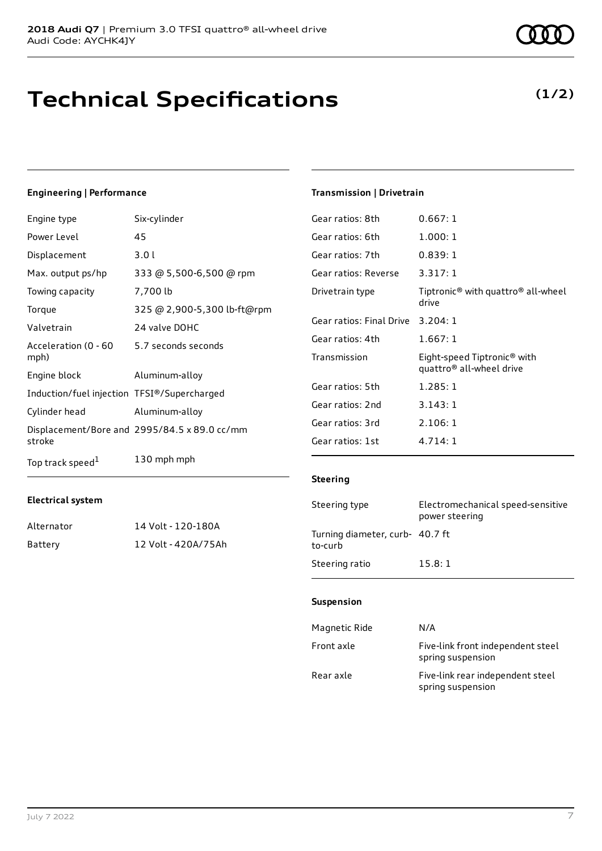## **Technical Specifications**

July 7 2022 7

**Electrical system**

| Power Level  | 45    |
|--------------|-------|
| Displacement | 3.0 L |
|              |       |

Engine type Six-cylinder

**Engineering | Performance**

| -------------                               |                                              |
|---------------------------------------------|----------------------------------------------|
| Max. output ps/hp                           | 333 @ 5,500-6,500 @ rpm                      |
| Towing capacity                             | 7,700 lb                                     |
| Torque                                      | 325 @ 2,900-5,300 lb-ft@rpm                  |
| Valvetrain                                  | 24 valve DOHC                                |
| Acceleration (0 - 60<br>mph)                | 5.7 seconds seconds                          |
| Engine block                                | Aluminum-alloy                               |
| Induction/fuel injection TFSI®/Supercharged |                                              |
| Cylinder head                               | Aluminum-alloy                               |
| stroke                                      | Displacement/Bore and 2995/84.5 x 89.0 cc/mm |
| Top track speed <sup>1</sup>                | 130 mph mph                                  |

Alternator 14 Volt - 120-180A Battery 12 Volt - 420A/75Ah

### **Transmission | Drivetrain**

| Gear ratios: 8th         | 0.667:1                                                                         |
|--------------------------|---------------------------------------------------------------------------------|
| Gear ratios: 6th         | 1.000:1                                                                         |
| Gear ratios: 7th         | 0.839:1                                                                         |
| Gear ratios: Reverse     | 3.317:1                                                                         |
| Drivetrain type          | Tiptronic <sup>®</sup> with quattro <sup>®</sup> all-wheel<br>drive             |
| Gear ratios: Final Drive | 3.204:1                                                                         |
| Gear ratios: 4th         | 1.667:1                                                                         |
| Transmission             | Eight-speed Tiptronic <sup>®</sup> with<br>quattro <sup>®</sup> all-wheel drive |
| Gear ratios: 5th         | 1.285:1                                                                         |
| Gear ratios: 2nd         | 3.143:1                                                                         |
| Gear ratios: 3rd         | 2.106:1                                                                         |
| Gear ratios: 1st         | 4.714:1                                                                         |

#### **Steering**

| Steering type                              | Electromechanical speed-sensitive<br>power steering |
|--------------------------------------------|-----------------------------------------------------|
| Turning diameter, curb- 40.7 ft<br>to-curb |                                                     |
| Steering ratio                             | 15.8:1                                              |

### **Suspension**

| Magnetic Ride | N/A                                                    |
|---------------|--------------------------------------------------------|
| Front axle    | Five-link front independent steel<br>spring suspension |
| Rear axle     | Five-link rear independent steel<br>spring suspension  |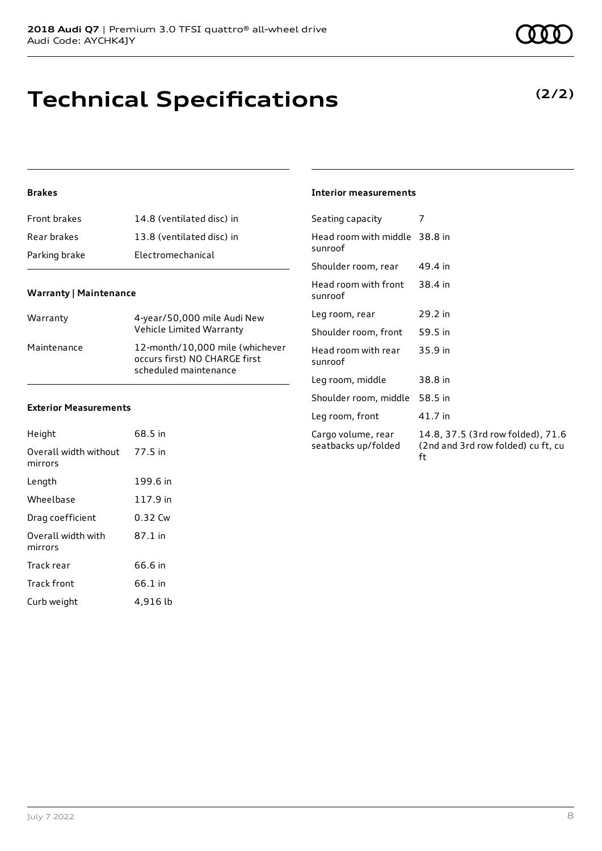# **Technical Specifications**

### **Brakes**

| <b>Front brakes</b> | 14.8 (ventilated disc) in |
|---------------------|---------------------------|
| Rear brakes         | 13.8 (ventilated disc) in |
| Parking brake       | Electromechanical         |

### **Warranty | Maintenance**

| Warranty    | 4-year/50,000 mile Audi New<br>Vehicle Limited Warranty                                   |
|-------------|-------------------------------------------------------------------------------------------|
| Maintenance | 12-month/10,000 mile (whichever<br>occurs first) NO CHARGE first<br>scheduled maintenance |

#### **Exterior Measurements**

| Height                           | 68.5 in  |
|----------------------------------|----------|
| Overall width without<br>mirrors | 77.5 in  |
| Length                           | 199.6 in |
| Wheelbase                        | 117.9 in |
| Drag coefficient                 | 0.32 Cw  |
| Overall width with<br>mirrors    | 87.1 in  |
| Track rear                       | 66.6 in  |
| Track front                      | 66.1 in  |
| Curb weight                      | 4,916 lb |

### **Interior measurements**

| Seating capacity                          | 7                                                                             |
|-------------------------------------------|-------------------------------------------------------------------------------|
| Head room with middle 38.8 in<br>sunroof  |                                                                               |
| Shoulder room, rear                       | 49.4 in                                                                       |
| Head room with front<br>sunroof           | 38.4 in                                                                       |
| Leg room, rear                            | 29.2 in                                                                       |
| Shoulder room, front                      | 59.5 in                                                                       |
| Head room with rear<br>sunroof            | 35.9 in                                                                       |
| Leg room, middle                          | 38.8 in                                                                       |
| Shoulder room, middle                     | 58.5 in                                                                       |
| Leg room, front                           | 41.7 in                                                                       |
| Cargo volume, rear<br>seatbacks up/folded | 14.8, 37.5 (3rd row folded), 71.6<br>(2nd and 3rd row folded) cu ft, cu<br>ft |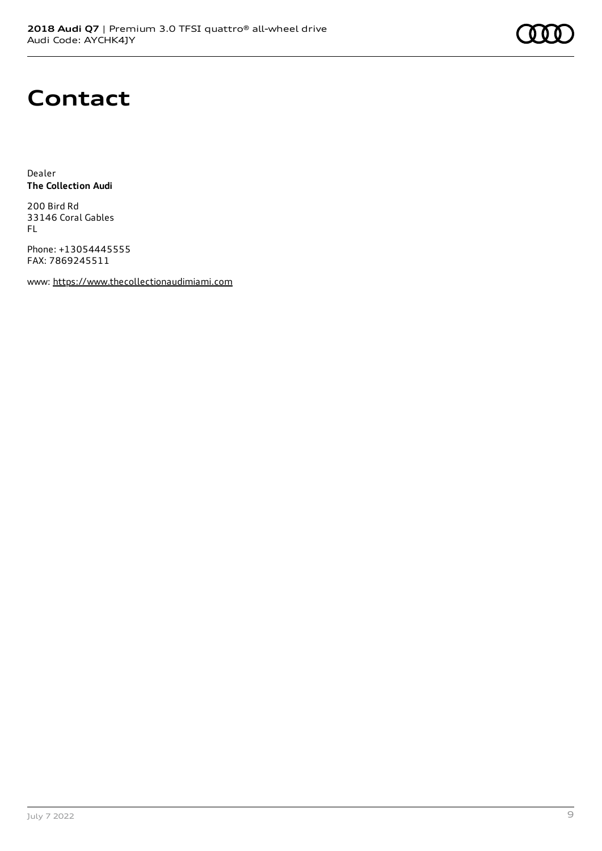# **Contact**

Dealer **The Collection Audi**

200 Bird Rd 33146 Coral Gables FL

Phone: +13054445555 FAX: 7869245511

www: [https://www.thecollectionaudimiami.com](https://www.thecollectionaudimiami.com/)